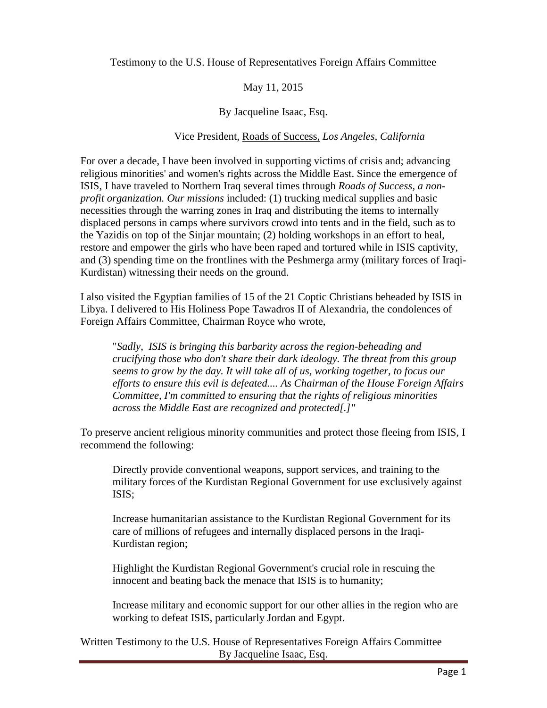Testimony to the U.S. House of Representatives Foreign Affairs Committee

May 11, 2015

By Jacqueline Isaac, Esq.

Vice President, Roads of Success, *Los Angeles, California*

For over a decade, I have been involved in supporting victims of crisis and; advancing religious minorities' and women's rights across the Middle East. Since the emergence of ISIS, I have traveled to Northern Iraq several times through *Roads of Success, a nonprofit organization. Our missions* included: (1) trucking medical supplies and basic necessities through the warring zones in Iraq and distributing the items to internally displaced persons in camps where survivors crowd into tents and in the field, such as to the Yazidis on top of the Sinjar mountain; (2) holding workshops in an effort to heal, restore and empower the girls who have been raped and tortured while in ISIS captivity, and (3) spending time on the frontlines with the Peshmerga army (military forces of Iraqi-Kurdistan) witnessing their needs on the ground.

I also visited the Egyptian families of 15 of the 21 Coptic Christians beheaded by ISIS in Libya. I delivered to His Holiness Pope Tawadros II of Alexandria, the condolences of Foreign Affairs Committee, Chairman Royce who wrote,

"*Sadly, ISIS is bringing this barbarity across the region-beheading and crucifying those who don't share their dark ideology. The threat from this group seems to grow by the day. It will take all of us, working together, to focus our efforts to ensure this evil is defeated.... As Chairman of the House Foreign Affairs Committee, I'm committed to ensuring that the rights of religious minorities across the Middle East are recognized and protected[.]"*

To preserve ancient religious minority communities and protect those fleeing from ISIS, I recommend the following:

Directly provide conventional weapons, support services, and training to the military forces of the Kurdistan Regional Government for use exclusively against ISIS;

Increase humanitarian assistance to the Kurdistan Regional Government for its care of millions of refugees and internally displaced persons in the Iraqi-Kurdistan region;

Highlight the Kurdistan Regional Government's crucial role in rescuing the innocent and beating back the menace that ISIS is to humanity;

Increase military and economic support for our other allies in the region who are working to defeat ISIS, particularly Jordan and Egypt.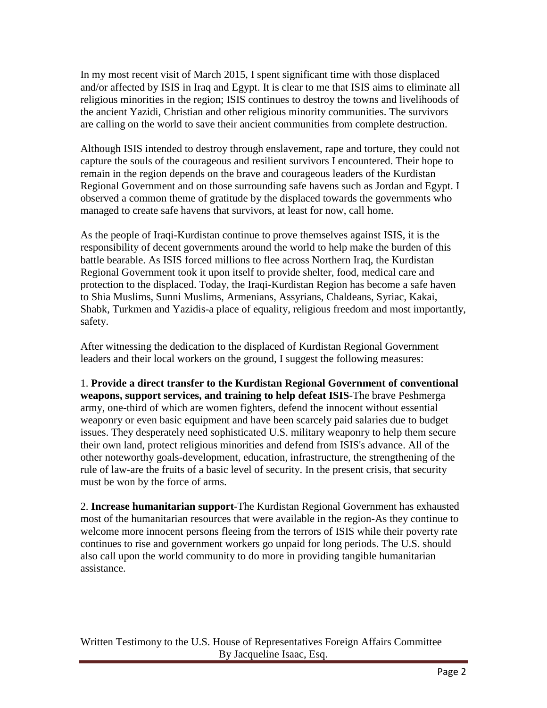In my most recent visit of March 2015, I spent significant time with those displaced and/or affected by ISIS in Iraq and Egypt. It is clear to me that ISIS aims to eliminate all religious minorities in the region; ISIS continues to destroy the towns and livelihoods of the ancient Yazidi, Christian and other religious minority communities. The survivors are calling on the world to save their ancient communities from complete destruction.

Although ISIS intended to destroy through enslavement, rape and torture, they could not capture the souls of the courageous and resilient survivors I encountered. Their hope to remain in the region depends on the brave and courageous leaders of the Kurdistan Regional Government and on those surrounding safe havens such as Jordan and Egypt. I observed a common theme of gratitude by the displaced towards the governments who managed to create safe havens that survivors, at least for now, call home.

As the people of Iraqi-Kurdistan continue to prove themselves against ISIS, it is the responsibility of decent governments around the world to help make the burden of this battle bearable. As ISIS forced millions to flee across Northern Iraq, the Kurdistan Regional Government took it upon itself to provide shelter, food, medical care and protection to the displaced. Today, the Iraqi-Kurdistan Region has become a safe haven to Shia Muslims, Sunni Muslims, Armenians, Assyrians, Chaldeans, Syriac, Kakai, Shabk, Turkmen and Yazidis-a place of equality, religious freedom and most importantly, safety.

After witnessing the dedication to the displaced of Kurdistan Regional Government leaders and their local workers on the ground, I suggest the following measures:

1. **Provide a direct transfer to the Kurdistan Regional Government of conventional weapons, support services, and training to help defeat ISIS**-The brave Peshmerga army, one-third of which are women fighters, defend the innocent without essential weaponry or even basic equipment and have been scarcely paid salaries due to budget issues. They desperately need sophisticated U.S. military weaponry to help them secure their own land, protect religious minorities and defend from ISIS's advance. All of the other noteworthy goals-development, education, infrastructure, the strengthening of the rule of law-are the fruits of a basic level of security. In the present crisis, that security must be won by the force of arms.

2. **Increase humanitarian support**-The Kurdistan Regional Government has exhausted most of the humanitarian resources that were available in the region-As they continue to welcome more innocent persons fleeing from the terrors of ISIS while their poverty rate continues to rise and government workers go unpaid for long periods. The U.S. should also call upon the world community to do more in providing tangible humanitarian assistance.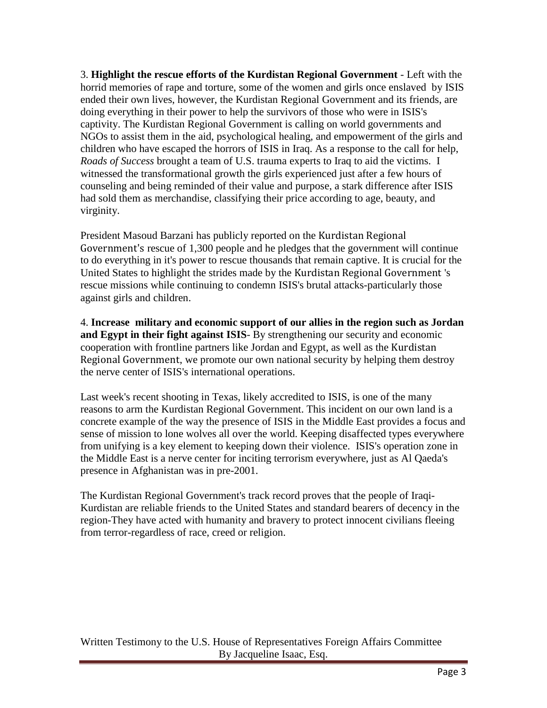3. **Highlight the rescue efforts of the Kurdistan Regional Government** - Left with the horrid memories of rape and torture, some of the women and girls once enslaved by ISIS ended their own lives, however, the Kurdistan Regional Government and its friends, are doing everything in their power to help the survivors of those who were in ISIS's captivity. The Kurdistan Regional Government is calling on world governments and NGOs to assist them in the aid, psychological healing, and empowerment of the girls and children who have escaped the horrors of ISIS in Iraq. As a response to the call for help, *Roads of Success* brought a team of U.S. trauma experts to Iraq to aid the victims. I witnessed the transformational growth the girls experienced just after a few hours of counseling and being reminded of their value and purpose, a stark difference after ISIS had sold them as merchandise, classifying their price according to age, beauty, and virginity.

President Masoud Barzani has publicly reported on the Kurdistan Regional Government's rescue of 1,300 people and he pledges that the government will continue to do everything in it's power to rescue thousands that remain captive. It is crucial for the United States to highlight the strides made by the Kurdistan Regional Government 's rescue missions while continuing to condemn ISIS's brutal attacks-particularly those against girls and children.

4. **Increase military and economic support of our allies in the region such as Jordan and Egypt in their fight against ISIS**- By strengthening our security and economic cooperation with frontline partners like Jordan and Egypt, as well as the Kurdistan Regional Government, we promote our own national security by helping them destroy the nerve center of ISIS's international operations.

Last week's recent shooting in Texas, likely accredited to ISIS, is one of the many reasons to arm the Kurdistan Regional Government. This incident on our own land is a concrete example of the way the presence of ISIS in the Middle East provides a focus and sense of mission to lone wolves all over the world. Keeping disaffected types everywhere from unifying is a key element to keeping down their violence. ISIS's operation zone in the Middle East is a nerve center for inciting terrorism everywhere, just as Al Qaeda's presence in Afghanistan was in pre-2001.

The Kurdistan Regional Government's track record proves that the people of Iraqi-Kurdistan are reliable friends to the United States and standard bearers of decency in the region-They have acted with humanity and bravery to protect innocent civilians fleeing from terror-regardless of race, creed or religion.